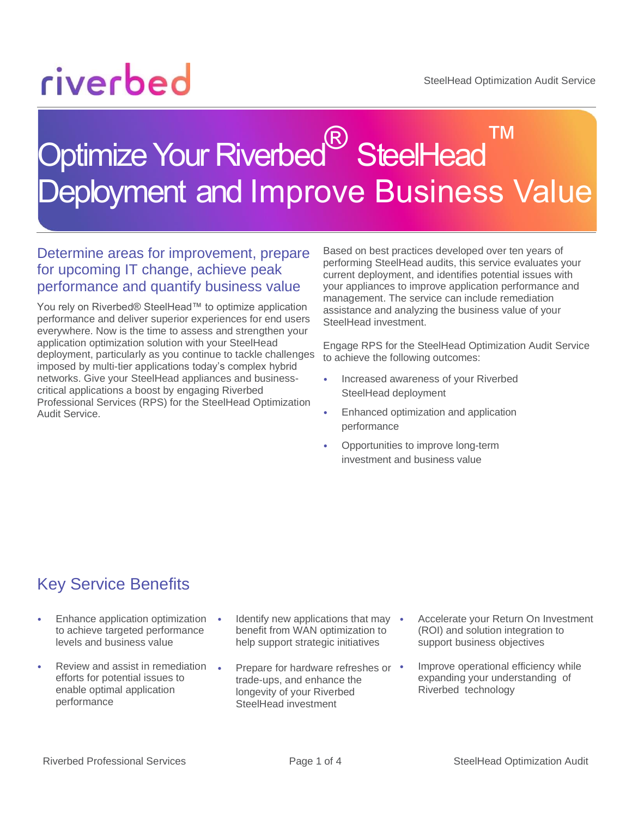# riverbed

### Optimize Your Riverbed<sup>®</sup> SteelHead ™ Deployment and Improve Business Value

#### Determine areas for improvement, prepare for upcoming IT change, achieve peak performance and quantify business value

You rely on Riverbed® SteelHead™ to optimize application performance and deliver superior experiences for end users everywhere. Now is the time to assess and strengthen your application optimization solution with your SteelHead deployment, particularly as you continue to tackle challenges imposed by multi-tier applications today's complex hybrid networks. Give your SteelHead appliances and businesscritical applications a boost by engaging Riverbed Professional Services (RPS) for the SteelHead Optimization Audit Service.

Based on best practices developed over ten years of performing SteelHead audits, this service evaluates your current deployment, and identifies potential issues with your appliances to improve application performance and management. The service can include remediation assistance and analyzing the business value of your SteelHead investment.

Engage RPS for the SteelHead Optimization Audit Service to achieve the following outcomes:

- Increased awareness of your Riverbed SteelHead deployment
- Enhanced optimization and application performance
- Opportunities to improve long-term investment and business value

#### Key Service Benefits

- Enhance application optimization to achieve targeted performance levels and business value
- Review and assist in remediation efforts for potential issues to enable optimal application performance
- **Identify new applications that may** benefit from WAN optimization to help support strategic initiatives
- Prepare for hardware refreshes or trade-ups, and enhance the longevity of your Riverbed SteelHead investment
- Accelerate your Return On Investment (ROI) and solution integration to support business objectives
- Improve operational efficiency while expanding your understanding of Riverbed technology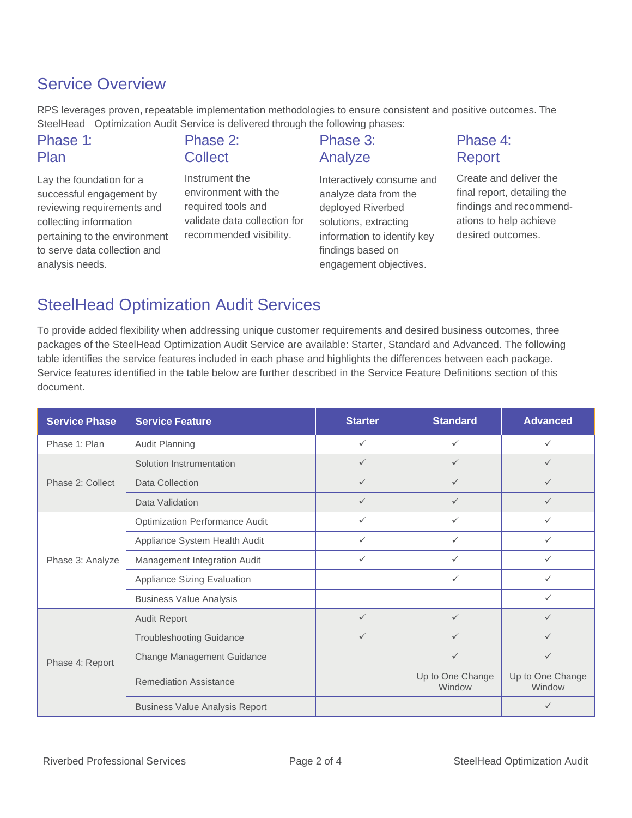#### Service Overview

RPS leverages proven, repeatable implementation methodologies to ensure consistent and positive outcomes. The SteelHead Optimization Audit Service is delivered through the following phases:

| Phase 1:                            | Phase 2:                     | Phase 3:                             | Phase 4:                    |
|-------------------------------------|------------------------------|--------------------------------------|-----------------------------|
| Plan                                | <b>Collect</b>               | Analyze                              | Report                      |
| Lay the foundation for a            | Instrument the               | Interactively consume and            | Create and deliver the      |
| successful engagement by            | environment with the         | analyze data from the                | final report, detailing the |
| reviewing requirements and          | required tools and           | deployed Riverbed                    | findings and recommend-     |
| المتمثلة ممسمة متأخذ المستلم مالمما | validate data collection for | ومماثلهم ومعاندون والمتماثلة والمرور | ations to holp ashious      |

collecting information pertaining to the environment to serve data collection and analysis needs.

## validate data collection for recommended visibility.



ations to help achieve desired outcomes.

#### SteelHead Optimization Audit Services

To provide added flexibility when addressing unique customer requirements and desired business outcomes, three packages of the SteelHead Optimization Audit Service are available: Starter, Standard and Advanced. The following table identifies the service features included in each phase and highlights the differences between each package. Service features identified in the table below are further described in the Service Feature Definitions section of this document.

| <b>Service Phase</b> | <b>Service Feature</b>                | <b>Starter</b> | <b>Standard</b>            | <b>Advanced</b>            |
|----------------------|---------------------------------------|----------------|----------------------------|----------------------------|
| Phase 1: Plan        | <b>Audit Planning</b>                 | $\checkmark$   | $\checkmark$               | $\checkmark$               |
| Phase 2: Collect     | Solution Instrumentation              | ✓              | $\checkmark$               | $\checkmark$               |
|                      | Data Collection                       | $\checkmark$   | $\checkmark$               | $\checkmark$               |
|                      | Data Validation                       | $\checkmark$   | $\checkmark$               | $\checkmark$               |
| Phase 3: Analyze     | <b>Optimization Performance Audit</b> | $\checkmark$   | ✓                          | $\checkmark$               |
|                      | Appliance System Health Audit         | $\checkmark$   | $\checkmark$               | $\checkmark$               |
|                      | Management Integration Audit          | $\checkmark$   | ✓                          | $\checkmark$               |
|                      | Appliance Sizing Evaluation           |                | ✓                          | ✓                          |
|                      | <b>Business Value Analysis</b>        |                |                            | $\checkmark$               |
| Phase 4: Report      | <b>Audit Report</b>                   | $\checkmark$   | $\checkmark$               | $\checkmark$               |
|                      | <b>Troubleshooting Guidance</b>       | $\checkmark$   | ✓                          | $\checkmark$               |
|                      | <b>Change Management Guidance</b>     |                | $\checkmark$               | $\checkmark$               |
|                      | <b>Remediation Assistance</b>         |                | Up to One Change<br>Window | Up to One Change<br>Window |
|                      | <b>Business Value Analysis Report</b> |                |                            | $\checkmark$               |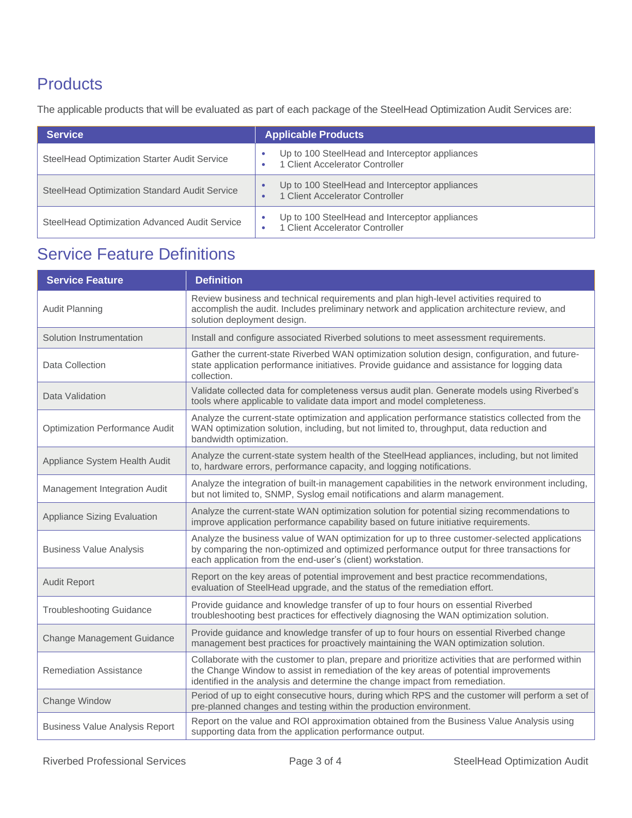#### **Products**

The applicable products that will be evaluated as part of each package of the SteelHead Optimization Audit Services are:

| <b>Service</b>                                | <b>Applicable Products</b>                                                        |
|-----------------------------------------------|-----------------------------------------------------------------------------------|
| SteelHead Optimization Starter Audit Service  | Up to 100 SteelHead and Interceptor appliances<br>1 Client Accelerator Controller |
| SteelHead Optimization Standard Audit Service | Up to 100 SteelHead and Interceptor appliances<br>1 Client Accelerator Controller |
| SteelHead Optimization Advanced Audit Service | Up to 100 SteelHead and Interceptor appliances<br>1 Client Accelerator Controller |

### Service Feature Definitions

| <b>Service Feature</b>                | <b>Definition</b>                                                                                                                                                                                                                                                           |
|---------------------------------------|-----------------------------------------------------------------------------------------------------------------------------------------------------------------------------------------------------------------------------------------------------------------------------|
| <b>Audit Planning</b>                 | Review business and technical requirements and plan high-level activities required to<br>accomplish the audit. Includes preliminary network and application architecture review, and<br>solution deployment design.                                                         |
| Solution Instrumentation              | Install and configure associated Riverbed solutions to meet assessment requirements.                                                                                                                                                                                        |
| Data Collection                       | Gather the current-state Riverbed WAN optimization solution design, configuration, and future-<br>state application performance initiatives. Provide guidance and assistance for logging data<br>collection.                                                                |
| Data Validation                       | Validate collected data for completeness versus audit plan. Generate models using Riverbed's<br>tools where applicable to validate data import and model completeness.                                                                                                      |
| <b>Optimization Performance Audit</b> | Analyze the current-state optimization and application performance statistics collected from the<br>WAN optimization solution, including, but not limited to, throughput, data reduction and<br>bandwidth optimization.                                                     |
| Appliance System Health Audit         | Analyze the current-state system health of the SteelHead appliances, including, but not limited<br>to, hardware errors, performance capacity, and logging notifications.                                                                                                    |
| Management Integration Audit          | Analyze the integration of built-in management capabilities in the network environment including,<br>but not limited to, SNMP, Syslog email notifications and alarm management.                                                                                             |
| <b>Appliance Sizing Evaluation</b>    | Analyze the current-state WAN optimization solution for potential sizing recommendations to<br>improve application performance capability based on future initiative requirements.                                                                                          |
| <b>Business Value Analysis</b>        | Analyze the business value of WAN optimization for up to three customer-selected applications<br>by comparing the non-optimized and optimized performance output for three transactions for<br>each application from the end-user's (client) workstation.                   |
| <b>Audit Report</b>                   | Report on the key areas of potential improvement and best practice recommendations,<br>evaluation of SteelHead upgrade, and the status of the remediation effort.                                                                                                           |
| <b>Troubleshooting Guidance</b>       | Provide guidance and knowledge transfer of up to four hours on essential Riverbed<br>troubleshooting best practices for effectively diagnosing the WAN optimization solution.                                                                                               |
| <b>Change Management Guidance</b>     | Provide guidance and knowledge transfer of up to four hours on essential Riverbed change<br>management best practices for proactively maintaining the WAN optimization solution.                                                                                            |
| <b>Remediation Assistance</b>         | Collaborate with the customer to plan, prepare and prioritize activities that are performed within<br>the Change Window to assist in remediation of the key areas of potential improvements<br>identified in the analysis and determine the change impact from remediation. |
| Change Window                         | Period of up to eight consecutive hours, during which RPS and the customer will perform a set of<br>pre-planned changes and testing within the production environment.                                                                                                      |
| <b>Business Value Analysis Report</b> | Report on the value and ROI approximation obtained from the Business Value Analysis using<br>supporting data from the application performance output.                                                                                                                       |